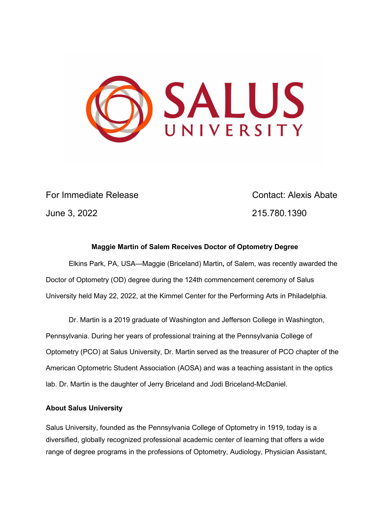

For Immediate Release Contact: Alexis Abate June 3, 2022 215.780.1390

## **Maggie Martin of Salem Receives Doctor of Optometry Degree**

Elkins Park, PA, USA—Maggie (Briceland) Martin**,** of Salem, was recently awarded the Doctor of Optometry (OD) degree during the 124th commencement ceremony of Salus University held May 22, 2022, at the Kimmel Center for the Performing Arts in Philadelphia.

 Dr. Martin is a 2019 graduate of Washington and Jefferson College in Washington, Pennsylvania. During her years of professional training at the Pennsylvania College of Optometry (PCO) at Salus University, Dr. Martin served as the treasurer of PCO chapter of the American Optometric Student Association (AOSA) and was a teaching assistant in the optics lab. Dr. Martin is the daughter of Jerry Briceland and Jodi Briceland-McDaniel.

## **About Salus University**

Salus University, founded as the Pennsylvania College of Optometry in 1919, today is a diversified, globally recognized professional academic center of learning that offers a wide range of degree programs in the professions of Optometry, Audiology, Physician Assistant,